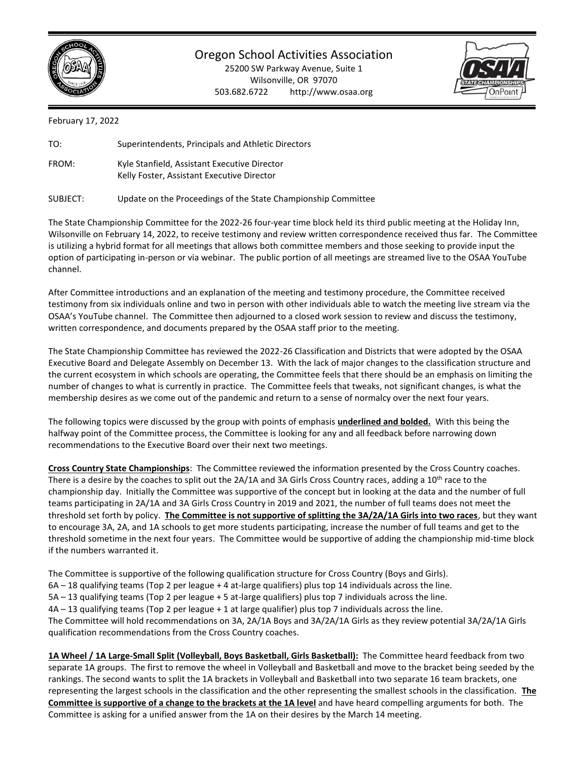

Oregon School Activities Association

25200 SW Parkway Avenue, Suite 1 Wilsonville, OR 97070 503.682.6722 http://www.osaa.org



February 17, 2022

| TO:      | Superintendents, Principals and Athletic Directors                                         |
|----------|--------------------------------------------------------------------------------------------|
| FROM:    | Kyle Stanfield, Assistant Executive Director<br>Kelly Foster, Assistant Executive Director |
| SUBJECT: | Update on the Proceedings of the State Championship Committee                              |

The State Championship Committee for the 2022-26 four-year time block held its third public meeting at the Holiday Inn, Wilsonville on February 14, 2022, to receive testimony and review written correspondence received thus far. The Committee is utilizing a hybrid format for all meetings that allows both committee members and those seeking to provide input the option of participating in-person or via webinar. The public portion of all meetings are streamed live to the OSAA YouTube channel.

After Committee introductions and an explanation of the meeting and testimony procedure, the Committee received testimony from six individuals online and two in person with other individuals able to watch the meeting live stream via the OSAA's YouTube channel. The Committee then adjourned to a closed work session to review and discuss the testimony, written correspondence, and documents prepared by the OSAA staff prior to the meeting.

The State Championship Committee has reviewed the 2022-26 Classification and Districts that were adopted by the OSAA Executive Board and Delegate Assembly on December 13. With the lack of major changes to the classification structure and the current ecosystem in which schools are operating, the Committee feels that there should be an emphasis on limiting the number of changes to what is currently in practice. The Committee feels that tweaks, not significant changes, is what the membership desires as we come out of the pandemic and return to a sense of normalcy over the next four years.

The following topics were discussed by the group with points of emphasis **underlined and bolded.** With this being the halfway point of the Committee process, the Committee is looking for any and all feedback before narrowing down recommendations to the Executive Board over their next two meetings.

**Cross Country State Championships**: The Committee reviewed the information presented by the Cross Country coaches. There is a desire by the coaches to split out the  $2A/1A$  and 3A Girls Cross Country races, adding a  $10^{th}$  race to the championship day. Initially the Committee was supportive of the concept but in looking at the data and the number of full teams participating in 2A/1A and 3A Girls Cross Country in 2019 and 2021, the number of full teams does not meet the threshold set forth by policy. **The Committee is not supportive of splitting the 3A/2A/1A Girls into two races**, but they want to encourage 3A, 2A, and 1A schools to get more students participating, increase the number of full teams and get to the threshold sometime in the next four years. The Committee would be supportive of adding the championship mid-time block if the numbers warranted it.

The Committee is supportive of the following qualification structure for Cross Country (Boys and Girls). 6A – 18 qualifying teams (Top 2 per league + 4 at-large qualifiers) plus top 14 individuals across the line. 5A – 13 qualifying teams (Top 2 per league + 5 at-large qualifiers) plus top 7 individuals across the line. 4A – 13 qualifying teams (Top 2 per league + 1 at large qualifier) plus top 7 individuals across the line. The Committee will hold recommendations on 3A, 2A/1A Boys and 3A/2A/1A Girls as they review potential 3A/2A/1A Girls qualification recommendations from the Cross Country coaches.

**1A Wheel / 1A Large-Small Split (Volleyball, Boys Basketball, Girls Basketball):** The Committee heard feedback from two separate 1A groups. The first to remove the wheel in Volleyball and Basketball and move to the bracket being seeded by the rankings. The second wants to split the 1A brackets in Volleyball and Basketball into two separate 16 team brackets, one representing the largest schools in the classification and the other representing the smallest schools in the classification. **The Committee is supportive of a change to the brackets at the 1A level** and have heard compelling arguments for both. The Committee is asking for a unified answer from the 1A on their desires by the March 14 meeting.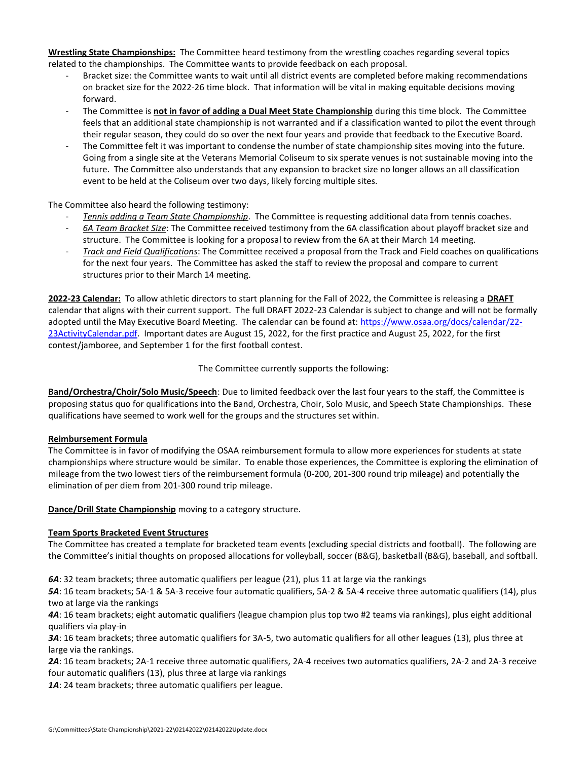**Wrestling State Championships:** The Committee heard testimony from the wrestling coaches regarding several topics related to the championships. The Committee wants to provide feedback on each proposal.

- Bracket size: the Committee wants to wait until all district events are completed before making recommendations on bracket size for the 2022-26 time block. That information will be vital in making equitable decisions moving forward.
- The Committee is not in favor of adding a Dual Meet State Championship during this time block. The Committee feels that an additional state championship is not warranted and if a classification wanted to pilot the event through their regular season, they could do so over the next four years and provide that feedback to the Executive Board.
- The Committee felt it was important to condense the number of state championship sites moving into the future. Going from a single site at the Veterans Memorial Coliseum to six sperate venues is not sustainable moving into the future. The Committee also understands that any expansion to bracket size no longer allows an all classification event to be held at the Coliseum over two days, likely forcing multiple sites.

The Committee also heard the following testimony:

- *Tennis adding a Team State Championship*. The Committee is requesting additional data from tennis coaches.
- *6A Team Bracket Size*: The Committee received testimony from the 6A classification about playoff bracket size and structure. The Committee is looking for a proposal to review from the 6A at their March 14 meeting.
- *Track and Field Qualifications*: The Committee received a proposal from the Track and Field coaches on qualifications for the next four years. The Committee has asked the staff to review the proposal and compare to current structures prior to their March 14 meeting.

**2022-23 Calendar:** To allow athletic directors to start planning for the Fall of 2022, the Committee is releasing a **DRAFT** calendar that aligns with their current support. The full DRAFT 2022-23 Calendar is subject to change and will not be formally adopted until the May Executive Board Meeting. The calendar can be found at: [https://www.osaa.org/docs/calendar/22-](https://www.osaa.org/docs/calendar/22-23ActivityCalendar.pdf) [23ActivityCalendar.pdf.](https://www.osaa.org/docs/calendar/22-23ActivityCalendar.pdf) Important dates are August 15, 2022, for the first practice and August 25, 2022, for the first contest/jamboree, and September 1 for the first football contest.

The Committee currently supports the following:

**Band/Orchestra/Choir/Solo Music/Speech**: Due to limited feedback over the last four years to the staff, the Committee is proposing status quo for qualifications into the Band, Orchestra, Choir, Solo Music, and Speech State Championships. These qualifications have seemed to work well for the groups and the structures set within.

## **Reimbursement Formula**

The Committee is in favor of modifying the OSAA reimbursement formula to allow more experiences for students at state championships where structure would be similar. To enable those experiences, the Committee is exploring the elimination of mileage from the two lowest tiers of the reimbursement formula (0-200, 201-300 round trip mileage) and potentially the elimination of per diem from 201-300 round trip mileage.

**Dance/Drill State Championship** moving to a category structure.

## **Team Sports Bracketed Event Structures**

The Committee has created a template for bracketed team events (excluding special districts and football). The following are the Committee's initial thoughts on proposed allocations for volleyball, soccer (B&G), basketball (B&G), baseball, and softball.

*6A*: 32 team brackets; three automatic qualifiers per league (21), plus 11 at large via the rankings

*5A*: 16 team brackets; 5A-1 & 5A-3 receive four automatic qualifiers, 5A-2 & 5A-4 receive three automatic qualifiers (14), plus two at large via the rankings

*4A*: 16 team brackets; eight automatic qualifiers (league champion plus top two #2 teams via rankings), plus eight additional qualifiers via play-in

*3A*: 16 team brackets; three automatic qualifiers for 3A-5, two automatic qualifiers for all other leagues (13), plus three at large via the rankings.

*2A*: 16 team brackets; 2A-1 receive three automatic qualifiers, 2A-4 receives two automatics qualifiers, 2A-2 and 2A-3 receive four automatic qualifiers (13), plus three at large via rankings

1A: 24 team brackets; three automatic qualifiers per league.